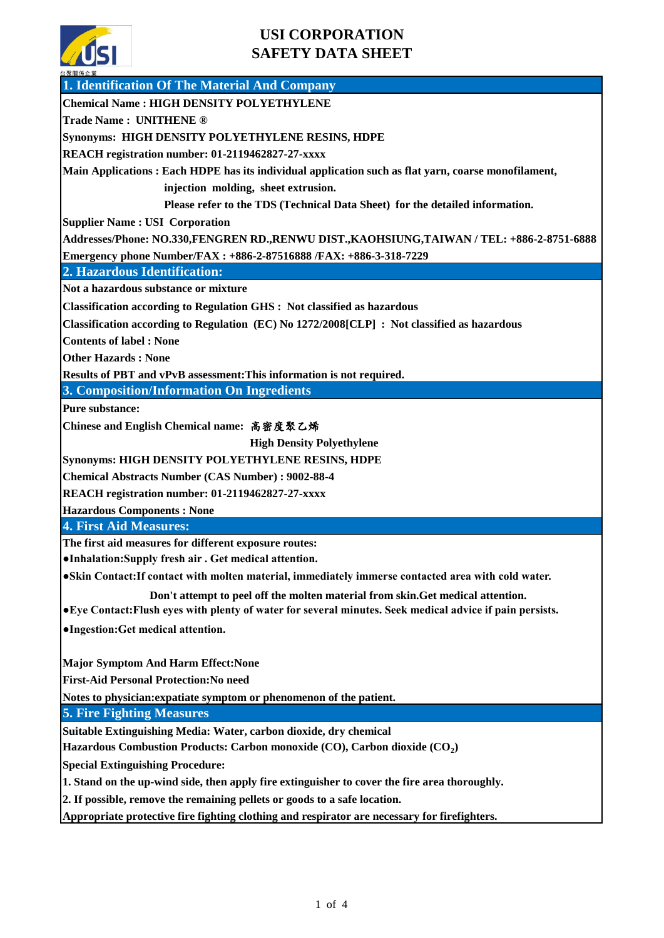

| 日本間休止業<br>1. Identification Of The Material And Company                                                                                                     |  |  |  |  |
|-------------------------------------------------------------------------------------------------------------------------------------------------------------|--|--|--|--|
| <b>Chemical Name: HIGH DENSITY POLYETHYLENE</b>                                                                                                             |  |  |  |  |
| <b>Trade Name: UNITHENE ®</b>                                                                                                                               |  |  |  |  |
| Synonyms: HIGH DENSITY POLYETHYLENE RESINS, HDPE                                                                                                            |  |  |  |  |
| REACH registration number: 01-2119462827-27-xxxx                                                                                                            |  |  |  |  |
| Main Applications: Each HDPE has its individual application such as flat yarn, coarse monofilament,                                                         |  |  |  |  |
| injection molding, sheet extrusion.                                                                                                                         |  |  |  |  |
| Please refer to the TDS (Technical Data Sheet) for the detailed information.                                                                                |  |  |  |  |
| <b>Supplier Name: USI Corporation</b>                                                                                                                       |  |  |  |  |
| Addresses/Phone: NO.330,FENGREN RD.,RENWU DIST.,KAOHSIUNG,TAIWAN / TEL: +886-2-8751-6888                                                                    |  |  |  |  |
| Emergency phone Number/FAX: +886-2-87516888 /FAX: +886-3-318-7229                                                                                           |  |  |  |  |
| 2. Hazardous Identification:                                                                                                                                |  |  |  |  |
| Not a hazardous substance or mixture                                                                                                                        |  |  |  |  |
| Classification according to Regulation GHS : Not classified as hazardous                                                                                    |  |  |  |  |
| Classification according to Regulation (EC) No 1272/2008[CLP] : Not classified as hazardous                                                                 |  |  |  |  |
| <b>Contents of label: None</b>                                                                                                                              |  |  |  |  |
| <b>Other Hazards: None</b>                                                                                                                                  |  |  |  |  |
| Results of PBT and vPvB assessment: This information is not required.                                                                                       |  |  |  |  |
| 3. Composition/Information On Ingredients                                                                                                                   |  |  |  |  |
| <b>Pure substance:</b>                                                                                                                                      |  |  |  |  |
| Chinese and English Chemical name: 高密度聚乙烯                                                                                                                   |  |  |  |  |
| <b>High Density Polyethylene</b>                                                                                                                            |  |  |  |  |
| Synonyms: HIGH DENSITY POLYETHYLENE RESINS, HDPE                                                                                                            |  |  |  |  |
| <b>Chemical Abstracts Number (CAS Number): 9002-88-4</b>                                                                                                    |  |  |  |  |
| REACH registration number: 01-2119462827-27-xxxx                                                                                                            |  |  |  |  |
| <b>Hazardous Components: None</b>                                                                                                                           |  |  |  |  |
| 4. First Aid Measures:                                                                                                                                      |  |  |  |  |
| The first aid measures for different exposure routes:                                                                                                       |  |  |  |  |
| •Inhalation: Supply fresh air . Get medical attention.                                                                                                      |  |  |  |  |
| .Skin Contact: If contact with molten material, immediately immerse contacted area with cold water.                                                         |  |  |  |  |
| Don't attempt to peel off the molten material from skin. Get medical attention.                                                                             |  |  |  |  |
| • Eye Contact: Flush eyes with plenty of water for several minutes. Seek medical advice if pain persists.                                                   |  |  |  |  |
| •Ingestion: Get medical attention.                                                                                                                          |  |  |  |  |
|                                                                                                                                                             |  |  |  |  |
| <b>Major Symptom And Harm Effect: None</b>                                                                                                                  |  |  |  |  |
| <b>First-Aid Personal Protection: No need</b>                                                                                                               |  |  |  |  |
| Notes to physician: expatiate symptom or phenomenon of the patient.<br><b>5. Fire Fighting Measures</b>                                                     |  |  |  |  |
|                                                                                                                                                             |  |  |  |  |
| Suitable Extinguishing Media: Water, carbon dioxide, dry chemical<br>Hazardous Combustion Products: Carbon monoxide (CO), Carbon dioxide (CO <sub>2</sub> ) |  |  |  |  |
|                                                                                                                                                             |  |  |  |  |
| <b>Special Extinguishing Procedure:</b><br>1. Stand on the up-wind side, then apply fire extinguisher to cover the fire area thoroughly.                    |  |  |  |  |
| 2. If possible, remove the remaining pellets or goods to a safe location.                                                                                   |  |  |  |  |
| Appropriate protective fire fighting clothing and respirator are necessary for firefighters.                                                                |  |  |  |  |
|                                                                                                                                                             |  |  |  |  |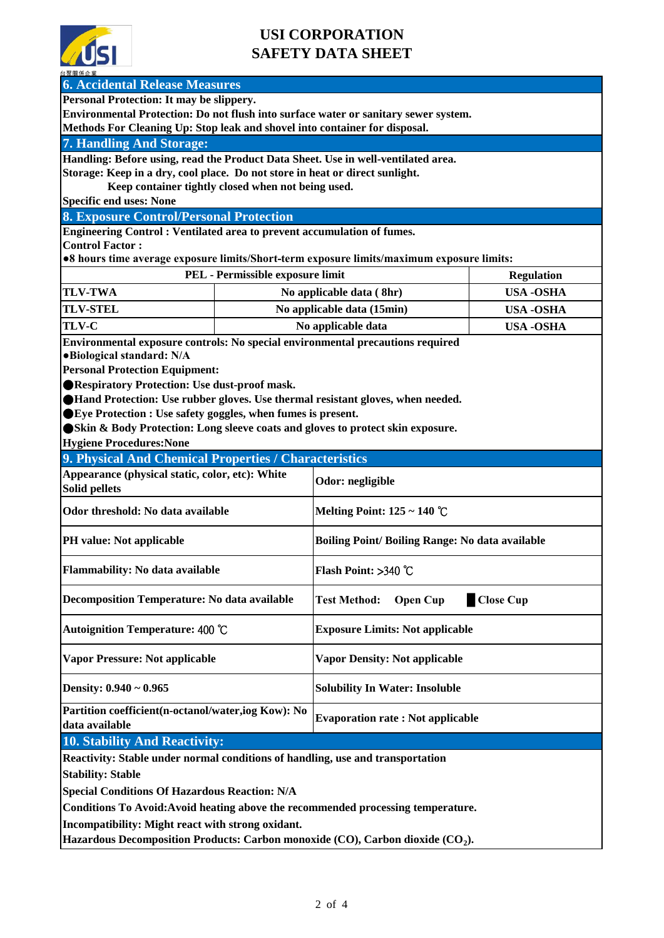

| 台聚關係企業                                                                                                                                           |                                                                                |                                                                                     |                   |  |  |
|--------------------------------------------------------------------------------------------------------------------------------------------------|--------------------------------------------------------------------------------|-------------------------------------------------------------------------------------|-------------------|--|--|
| <b>6. Accidental Release Measures</b>                                                                                                            |                                                                                |                                                                                     |                   |  |  |
| Personal Protection: It may be slippery.                                                                                                         |                                                                                |                                                                                     |                   |  |  |
|                                                                                                                                                  |                                                                                | Environmental Protection: Do not flush into surface water or sanitary sewer system. |                   |  |  |
| Methods For Cleaning Up: Stop leak and shovel into container for disposal.                                                                       |                                                                                |                                                                                     |                   |  |  |
| <b>7. Handling And Storage:</b>                                                                                                                  |                                                                                |                                                                                     |                   |  |  |
| Handling: Before using, read the Product Data Sheet. Use in well-ventilated area.                                                                |                                                                                |                                                                                     |                   |  |  |
| Storage: Keep in a dry, cool place. Do not store in heat or direct sunlight.                                                                     |                                                                                |                                                                                     |                   |  |  |
| Keep container tightly closed when not being used.                                                                                               |                                                                                |                                                                                     |                   |  |  |
| <b>Specific end uses: None</b>                                                                                                                   |                                                                                |                                                                                     |                   |  |  |
| <b>8. Exposure Control/Personal Protection</b>                                                                                                   |                                                                                |                                                                                     |                   |  |  |
| Engineering Control: Ventilated area to prevent accumulation of fumes.                                                                           |                                                                                |                                                                                     |                   |  |  |
| <b>Control Factor:</b>                                                                                                                           |                                                                                |                                                                                     |                   |  |  |
| •8 hours time average exposure limits/Short-term exposure limits/maximum exposure limits:                                                        |                                                                                |                                                                                     |                   |  |  |
|                                                                                                                                                  | PEL - Permissible exposure limit                                               |                                                                                     | <b>Regulation</b> |  |  |
| <b>TLV-TWA</b>                                                                                                                                   | No applicable data (8hr)                                                       |                                                                                     | <b>USA -OSHA</b>  |  |  |
| <b>TLV-STEL</b>                                                                                                                                  | No applicable data (15min)                                                     |                                                                                     | <b>USA-OSHA</b>   |  |  |
| <b>TLV-C</b>                                                                                                                                     | No applicable data                                                             |                                                                                     | <b>USA -OSHA</b>  |  |  |
|                                                                                                                                                  | Environmental exposure controls: No special environmental precautions required |                                                                                     |                   |  |  |
| ·Biological standard: N/A                                                                                                                        |                                                                                |                                                                                     |                   |  |  |
| <b>Personal Protection Equipment:</b>                                                                                                            |                                                                                |                                                                                     |                   |  |  |
| ●Respiratory Protection: Use dust-proof mask.                                                                                                    |                                                                                |                                                                                     |                   |  |  |
|                                                                                                                                                  |                                                                                |                                                                                     |                   |  |  |
| ●Hand Protection: Use rubber gloves. Use thermal resistant gloves, when needed.<br>● Eye Protection : Use safety goggles, when fumes is present. |                                                                                |                                                                                     |                   |  |  |
| Skin & Body Protection: Long sleeve coats and gloves to protect skin exposure.                                                                   |                                                                                |                                                                                     |                   |  |  |
|                                                                                                                                                  |                                                                                |                                                                                     |                   |  |  |
| <b>Hygiene Procedures: None</b>                                                                                                                  |                                                                                |                                                                                     |                   |  |  |
| 9. Physical And Chemical Properties / Characteristics                                                                                            |                                                                                |                                                                                     |                   |  |  |
| Appearance (physical static, color, etc): White<br><b>Solid pellets</b>                                                                          |                                                                                | Odor: negligible                                                                    |                   |  |  |
| Odor threshold: No data available                                                                                                                |                                                                                | Melting Point: $125 \sim 140$ °C                                                    |                   |  |  |
| <b>PH</b> value: Not applicable                                                                                                                  |                                                                                | <b>Boiling Point/Boiling Range: No data available</b>                               |                   |  |  |
| Flammability: No data available                                                                                                                  |                                                                                | Flash Point: >340 °C                                                                |                   |  |  |
| <b>Decomposition Temperature: No data available</b>                                                                                              |                                                                                | <b>Close Cup</b><br><b>Test Method:</b><br><b>Open Cup</b>                          |                   |  |  |
| Autoignition Temperature: 400 °C                                                                                                                 |                                                                                | <b>Exposure Limits: Not applicable</b>                                              |                   |  |  |
| <b>Vapor Pressure: Not applicable</b>                                                                                                            |                                                                                | <b>Vapor Density: Not applicable</b>                                                |                   |  |  |
| Density: $0.940 \sim 0.965$                                                                                                                      |                                                                                | <b>Solubility In Water: Insoluble</b>                                               |                   |  |  |
| Partition coefficient(n-octanol/water,iog Kow): No                                                                                               |                                                                                | <b>Evaporation rate: Not applicable</b>                                             |                   |  |  |
| data available                                                                                                                                   |                                                                                |                                                                                     |                   |  |  |
| 10. Stability And Reactivity:                                                                                                                    |                                                                                |                                                                                     |                   |  |  |
| Reactivity: Stable under normal conditions of handling, use and transportation                                                                   |                                                                                |                                                                                     |                   |  |  |
| <b>Stability: Stable</b>                                                                                                                         |                                                                                |                                                                                     |                   |  |  |
| <b>Special Conditions Of Hazardous Reaction: N/A</b>                                                                                             |                                                                                |                                                                                     |                   |  |  |
| Conditions To Avoid: Avoid heating above the recommended processing temperature.                                                                 |                                                                                |                                                                                     |                   |  |  |
|                                                                                                                                                  |                                                                                |                                                                                     |                   |  |  |
| Incompatibility: Might react with strong oxidant.                                                                                                |                                                                                |                                                                                     |                   |  |  |
| Hazardous Decomposition Products: Carbon monoxide (CO), Carbon dioxide (CO <sub>2</sub> ).                                                       |                                                                                |                                                                                     |                   |  |  |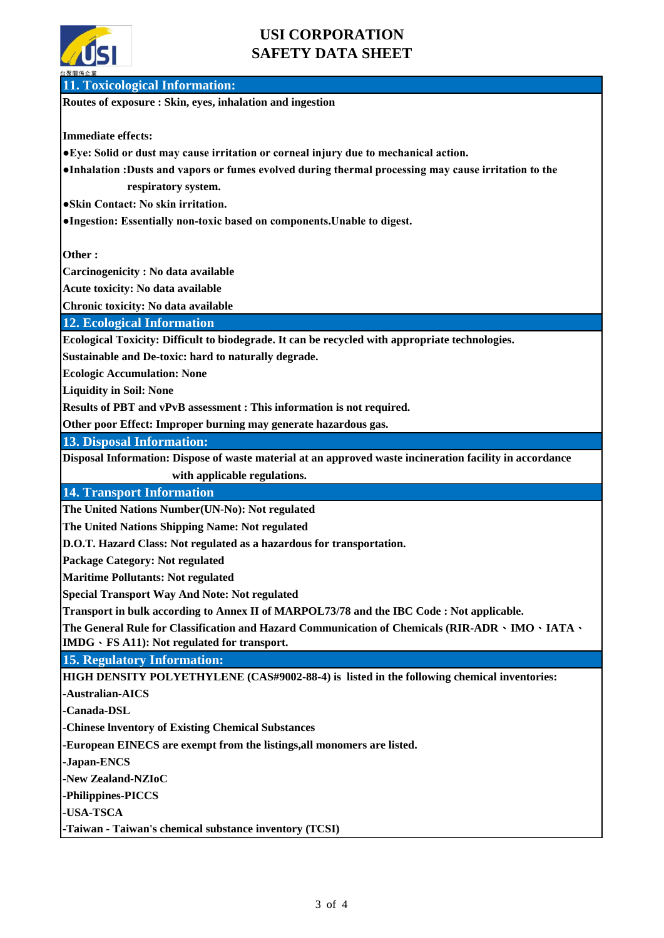

**11. Toxicological Information:**

**Routes of exposure : Skin, eyes, inhalation and ingestion**

**Immediate effects:**

**●Eye: Solid or dust may cause irritation or corneal injury due to mechanical action.** 

**●Inhalation :Dusts and vapors or fumes evolved during thermal processing may cause irritation to the respiratory system.**

**●Skin Contact: No skin irritation.**

**●Ingestion: Essentially non-toxic based on components.Unable to digest.** 

**Other :**

**Carcinogenicity : No data available**

**Acute toxicity: No data available**

**Chronic toxicity: No data available**

**12. Ecological Information**

**Ecological Toxicity: Difficult to biodegrade. It can be recycled with appropriate technologies.**

**Sustainable and De-toxic: hard to naturally degrade.**

**Ecologic Accumulation: None**

**Liquidity in Soil: None**

**Results of PBT and vPvB assessment : This information is not required.**

**Other poor Effect: Improper burning may generate hazardous gas.** 

**13. Disposal Information:**

**Disposal Information: Dispose of waste material at an approved waste incineration facility in accordance**

 **with applicable regulations.**

**14. Transport Information**

**The United Nations Number(UN-No): Not regulated** 

**The United Nations Shipping Name: Not regulated** 

**D.O.T. Hazard Class: Not regulated as a hazardous for transportation.** 

**Package Category: Not regulated** 

**Maritime Pollutants: Not regulated** 

**Special Transport Way And Note: Not regulated** 

**Transport in bulk according to Annex II of MARPOL73/78 and the IBC Code : Not applicable.**

**The General Rule for Classification and Hazard Communication of Chemicals (RIR-ADR**、**IMO**、**IATA**、 **IMDG**、**FS A11): Not regulated for transport.**

**15. Regulatory Information:**

**HIGH DENSITY POLYETHYLENE (CAS#9002-88-4) is listed in the following chemical inventories:**

**-Australian-AICS**

**-Canada-DSL**

**-Chinese lnventory of Existing Chemical Substances**

**-European EINECS are exempt from the listings,all monomers are listed.** 

**-Japan-ENCS**

**-New Zealand-NZIoC**

**-Philippines-PICCS**

**-USA-TSCA**

**-Taiwan - Taiwan's chemical substance inventory (TCSI)**